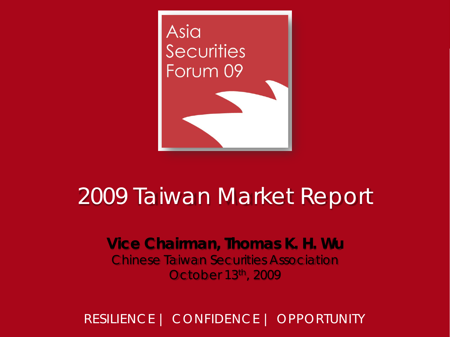

#### 2009 Taiwan Market Report

**Vice Chairman, Thomas K. H. Wu** Chinese Taiwan Securities Association October 13th, 2009

RESILIENCE | CONFIDENCE | OPPORTUNITY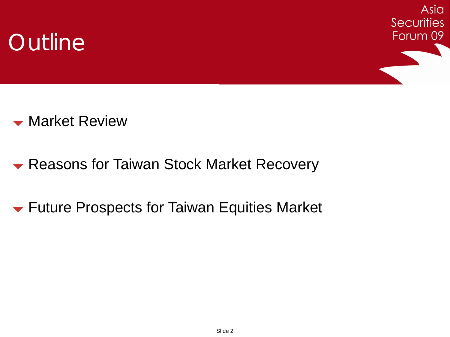



**Warket Review** 

- **Reasons for Taiwan Stock Market Recovery**
- **Future Prospects for Taiwan Equities Market**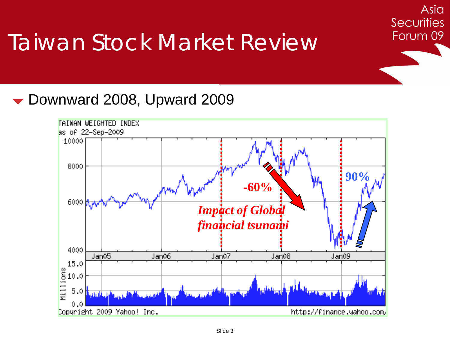▼ Downward 2008, Upward 2009



Asia

**Securities**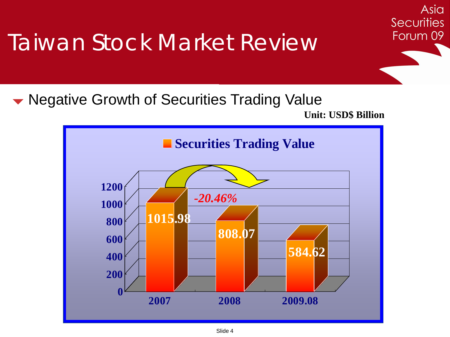• Negative Growth of Securities Trading Value **Unit: USD\$ Billion**



Asia

**Securities**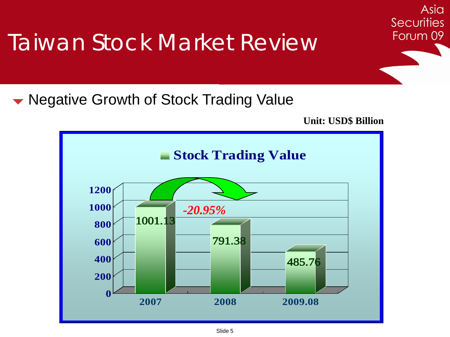• Negative Growth of Stock Trading Value

**Unit: USD\$ Billion**

Asia

**Securities** 

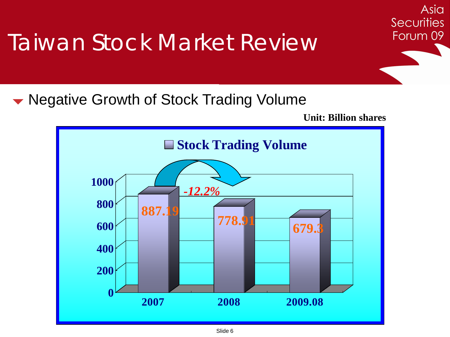• Negative Growth of Stock Trading Volume

**Unit: Billion shares**

Asia

**Securities** 

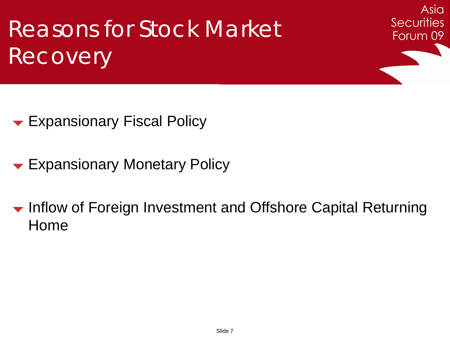Asia **Securities** Forum 09

- **Expansionary Fiscal Policy**
- Expansionary Monetary Policy

• Inflow of Foreign Investment and Offshore Capital Returning Home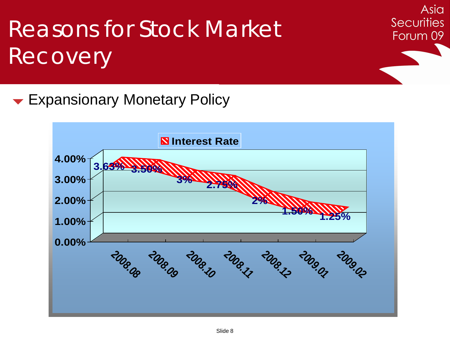Asia **Securities** Forum 09

**Expansionary Monetary Policy** 

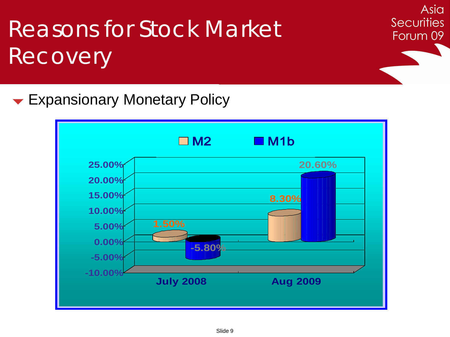Asia **Securities** Forum 09

**Expansionary Monetary Policy** 

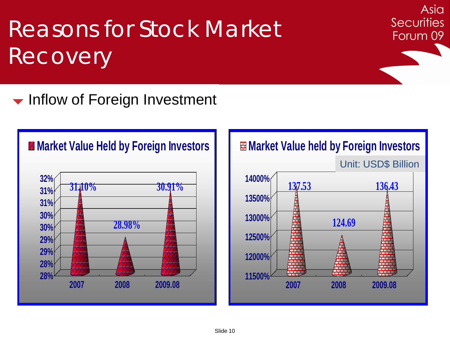• Inflow of Foreign Investment

#### **Market Value Held by Foreign Investors**





Asia

**Securities**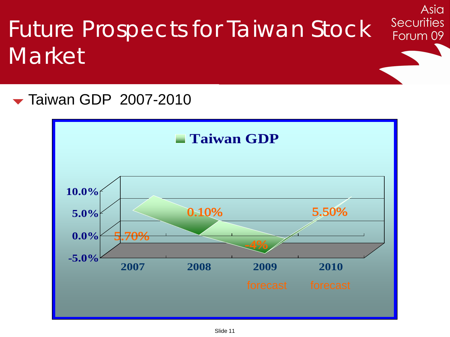#### Asia **Securities** Future Prospects for Taiwan Stock Forum 09 **Market**

**Taiwan GDP 2007-2010** 

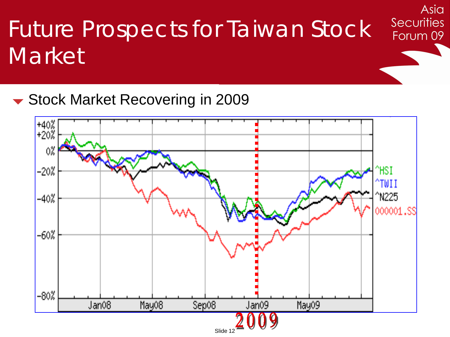# Future Prospects for Taiwan Stock **Market**

Asia

**Securities** 

Forum 09

▼ Stock Market Recovering in 2009

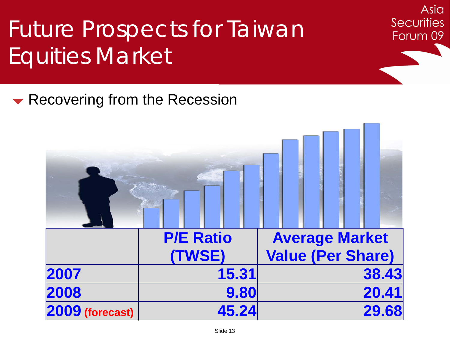# Future Prospects for Taiwan Equities Market

Recovering from the Recession

|                 | <b>P/E Ratio</b> | <b>Average Market</b>    |
|-----------------|------------------|--------------------------|
|                 | (TWSE)           | <b>Value (Per Share)</b> |
| 2007            | 15.31            | 38.43                    |
| 2008            | 9.80             | 20.41                    |
| 2009 (forecast) | 45.24            | 29.68                    |

Asia

**Securities**